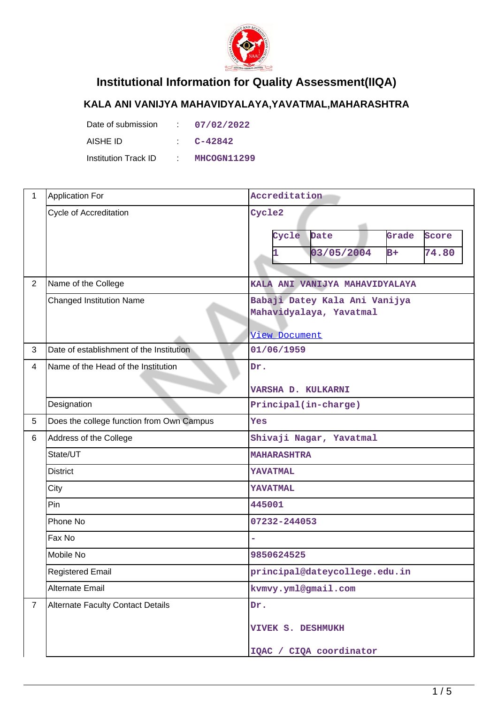

## **Institutional Information for Quality Assessment(IIQA)**

## **KALA ANI VANIJYA MAHAVIDYALAYA,YAVATMAL,MAHARASHTRA**

| Date of submission   | 07/02/2022  |
|----------------------|-------------|
| AISHE ID             | C-42842     |
| Institution Track ID | MHCOGN11299 |

| $\mathbf{1}$   | <b>Application For</b>                    | Accreditation                                                                    |  |  |  |  |
|----------------|-------------------------------------------|----------------------------------------------------------------------------------|--|--|--|--|
|                | Cycle of Accreditation                    | Cycle2<br>Date<br>Grade<br>Cycle<br>Score<br>03/05/2004<br>$B+$<br>74.80         |  |  |  |  |
| $\overline{2}$ | Name of the College                       | KALA ANI VANIJYA MAHAVIDYALAYA                                                   |  |  |  |  |
|                | <b>Changed Institution Name</b>           | Babaji Datey Kala Ani Vanijya<br>Mahavidyalaya, Yavatmal<br><b>View Document</b> |  |  |  |  |
| 3              | Date of establishment of the Institution  | 01/06/1959                                                                       |  |  |  |  |
| $\overline{4}$ | Name of the Head of the Institution       | Dr.<br><b>VARSHA D. KULKARNI</b>                                                 |  |  |  |  |
|                | Designation                               | Principal(in-charge)                                                             |  |  |  |  |
| 5              | Does the college function from Own Campus | Yes                                                                              |  |  |  |  |
| 6              | Address of the College                    | Shivaji Nagar, Yavatmal                                                          |  |  |  |  |
|                | State/UT                                  | <b>MAHARASHTRA</b>                                                               |  |  |  |  |
|                | <b>District</b>                           | <b>YAVATMAL</b>                                                                  |  |  |  |  |
|                | City                                      | <b>YAVATMAL</b>                                                                  |  |  |  |  |
|                | Pin                                       | 445001                                                                           |  |  |  |  |
|                | Phone No                                  | 07232-244053                                                                     |  |  |  |  |
|                | Fax No                                    | ÷,                                                                               |  |  |  |  |
|                | Mobile No                                 | 9850624525                                                                       |  |  |  |  |
|                | <b>Registered Email</b>                   | principal@dateycollege.edu.in                                                    |  |  |  |  |
|                | Alternate Email                           | kvmvy.yml@gmail.com                                                              |  |  |  |  |
| $\overline{7}$ | <b>Alternate Faculty Contact Details</b>  | Dr.<br>VIVEK S. DESHMUKH<br>IQAC / CIQA coordinator                              |  |  |  |  |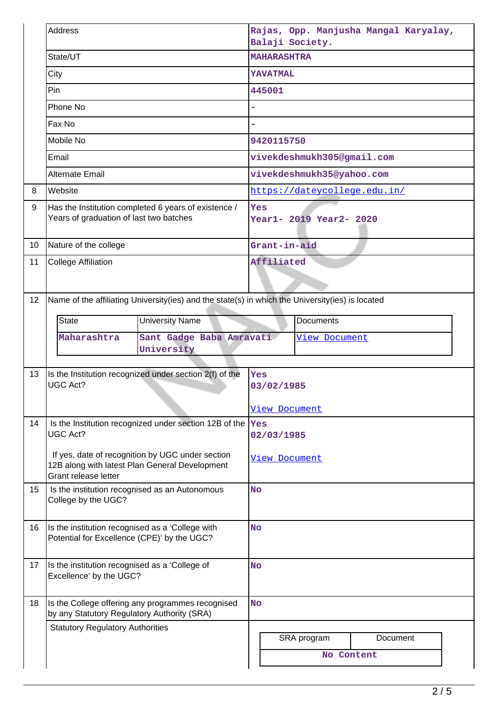|    | <b>Address</b>                                                                                   | Rajas, Opp. Manjusha Mangal Karyalay,<br>Balaji Society. |  |  |  |  |
|----|--------------------------------------------------------------------------------------------------|----------------------------------------------------------|--|--|--|--|
|    | State/UT                                                                                         | <b>MAHARASHTRA</b>                                       |  |  |  |  |
|    | City                                                                                             | <b>YAVATMAL</b>                                          |  |  |  |  |
|    | Pin                                                                                              | 445001                                                   |  |  |  |  |
|    | Phone No                                                                                         |                                                          |  |  |  |  |
|    | Fax No                                                                                           |                                                          |  |  |  |  |
|    | Mobile No                                                                                        | 9420115750                                               |  |  |  |  |
|    | Email                                                                                            | vivekdeshmukh305@gmail.com                               |  |  |  |  |
|    | <b>Alternate Email</b>                                                                           | vivekdeshmukh35@yahoo.com                                |  |  |  |  |
| 8  | Website                                                                                          | https://dateycollege.edu.in/                             |  |  |  |  |
| 9  | Has the Institution completed 6 years of existence /<br>Years of graduation of last two batches  | Yes<br>Year1- 2019 Year2- 2020                           |  |  |  |  |
| 10 | Nature of the college                                                                            | Grant-in-aid                                             |  |  |  |  |
| 11 | <b>College Affiliation</b>                                                                       | Affiliated                                               |  |  |  |  |
| 12 | Name of the affiliating University(ies) and the state(s) in which the University(ies) is located |                                                          |  |  |  |  |
|    | <b>University Name</b><br><b>State</b>                                                           | <b>Documents</b>                                         |  |  |  |  |
|    | Sant Gadge Baba Amravati<br>Maharashtra                                                          | <b>View Document</b>                                     |  |  |  |  |
|    | University                                                                                       |                                                          |  |  |  |  |
|    |                                                                                                  |                                                          |  |  |  |  |
| 13 | Is the Institution recognized under section 2(f) of the<br><b>UGC Act?</b>                       | Yes<br>03/02/1985                                        |  |  |  |  |
|    |                                                                                                  |                                                          |  |  |  |  |
|    |                                                                                                  | View Document                                            |  |  |  |  |
| 14 | Is the Institution recognized under section 12B of the  Yes<br><b>UGC Act?</b>                   | 02/03/1985                                               |  |  |  |  |
|    | If yes, date of recognition by UGC under section                                                 | View Document                                            |  |  |  |  |
|    | 12B along with latest Plan General Development<br>Grant release letter                           |                                                          |  |  |  |  |
| 15 | Is the institution recognised as an Autonomous                                                   | <b>No</b>                                                |  |  |  |  |
|    | College by the UGC?                                                                              |                                                          |  |  |  |  |
| 16 | Is the institution recognised as a 'College with                                                 | <b>No</b>                                                |  |  |  |  |
|    | Potential for Excellence (CPE)' by the UGC?                                                      |                                                          |  |  |  |  |
| 17 | Is the institution recognised as a 'College of                                                   | <b>No</b>                                                |  |  |  |  |
|    | Excellence' by the UGC?                                                                          |                                                          |  |  |  |  |
|    |                                                                                                  |                                                          |  |  |  |  |
| 18 | Is the College offering any programmes recognised<br>by any Statutory Regulatory Authority (SRA) | <b>No</b>                                                |  |  |  |  |
|    | <b>Statutory Regulatory Authorities</b>                                                          |                                                          |  |  |  |  |
|    |                                                                                                  | SRA program<br>Document                                  |  |  |  |  |
|    |                                                                                                  | No Content                                               |  |  |  |  |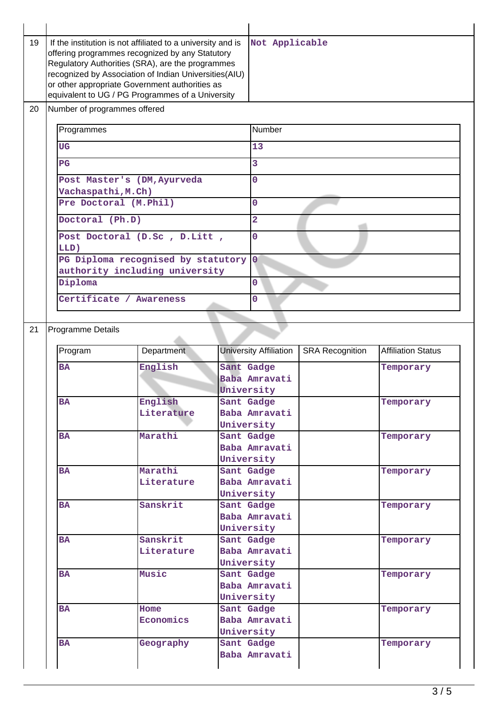| 19 | If the institution is not affiliated to a university and is<br>offering programmes recognized by any Statutory<br>Regulatory Authorities (SRA), are the programmes<br>recognized by Association of Indian Universities(AIU)<br>or other appropriate Government authorities as<br>equivalent to UG / PG Programmes of a University |                                    |                               | Not Applicable         |                           |  |  |  |
|----|-----------------------------------------------------------------------------------------------------------------------------------------------------------------------------------------------------------------------------------------------------------------------------------------------------------------------------------|------------------------------------|-------------------------------|------------------------|---------------------------|--|--|--|
| 20 | Number of programmes offered                                                                                                                                                                                                                                                                                                      |                                    |                               |                        |                           |  |  |  |
|    | Programmes                                                                                                                                                                                                                                                                                                                        |                                    | Number                        |                        |                           |  |  |  |
|    | UG                                                                                                                                                                                                                                                                                                                                |                                    | 13                            |                        |                           |  |  |  |
|    |                                                                                                                                                                                                                                                                                                                                   |                                    |                               |                        |                           |  |  |  |
|    | P <sub>G</sub>                                                                                                                                                                                                                                                                                                                    |                                    | 3                             |                        |                           |  |  |  |
|    |                                                                                                                                                                                                                                                                                                                                   | Post Master's (DM, Ayurveda        | $\overline{0}$                |                        |                           |  |  |  |
|    | Vachaspathi, M.Ch)<br>Pre Doctoral (M.Phil)                                                                                                                                                                                                                                                                                       |                                    | $\mathbf{O}$                  |                        |                           |  |  |  |
|    |                                                                                                                                                                                                                                                                                                                                   |                                    |                               |                        |                           |  |  |  |
|    | Doctoral (Ph.D)                                                                                                                                                                                                                                                                                                                   |                                    | $\overline{\mathbf{2}}$       |                        |                           |  |  |  |
|    |                                                                                                                                                                                                                                                                                                                                   | Post Doctoral (D.Sc , D.Litt ,     | $\overline{0}$                |                        |                           |  |  |  |
|    | LLD)                                                                                                                                                                                                                                                                                                                              | PG Diploma recognised by statutory | $\overline{0}$                |                        |                           |  |  |  |
|    |                                                                                                                                                                                                                                                                                                                                   | authority including university     |                               |                        |                           |  |  |  |
|    | Diploma                                                                                                                                                                                                                                                                                                                           |                                    | $\Omega$                      |                        |                           |  |  |  |
|    |                                                                                                                                                                                                                                                                                                                                   | Certificate / Awareness            |                               | $\mathbf{0}$           |                           |  |  |  |
|    |                                                                                                                                                                                                                                                                                                                                   |                                    |                               |                        |                           |  |  |  |
| 21 | Programme Details                                                                                                                                                                                                                                                                                                                 |                                    |                               |                        |                           |  |  |  |
|    |                                                                                                                                                                                                                                                                                                                                   |                                    |                               |                        |                           |  |  |  |
|    | Program                                                                                                                                                                                                                                                                                                                           | Department                         | <b>University Affiliation</b> | <b>SRA Recognition</b> | <b>Affiliation Status</b> |  |  |  |
|    | <b>BA</b>                                                                                                                                                                                                                                                                                                                         | English                            | Sant Gadge                    |                        | Temporary                 |  |  |  |
|    |                                                                                                                                                                                                                                                                                                                                   |                                    | Baba Amravati                 |                        |                           |  |  |  |
|    |                                                                                                                                                                                                                                                                                                                                   |                                    | University                    |                        |                           |  |  |  |
|    | ΒA                                                                                                                                                                                                                                                                                                                                | English<br>Literature              | Sant Gadge<br>Baba Amravati   |                        | Temporary                 |  |  |  |
|    |                                                                                                                                                                                                                                                                                                                                   |                                    | University                    |                        |                           |  |  |  |
|    | <b>BA</b>                                                                                                                                                                                                                                                                                                                         | Marathi                            | Sant Gadge                    |                        | Temporary                 |  |  |  |
|    |                                                                                                                                                                                                                                                                                                                                   |                                    | Baba Amravati                 |                        |                           |  |  |  |
|    |                                                                                                                                                                                                                                                                                                                                   |                                    | University                    |                        |                           |  |  |  |
|    | <b>BA</b>                                                                                                                                                                                                                                                                                                                         | Marathi                            | Sant Gadge                    |                        | Temporary                 |  |  |  |
|    |                                                                                                                                                                                                                                                                                                                                   | Literature                         | Baba Amravati                 |                        |                           |  |  |  |
|    |                                                                                                                                                                                                                                                                                                                                   |                                    | University                    |                        |                           |  |  |  |
|    | <b>BA</b>                                                                                                                                                                                                                                                                                                                         | Sanskrit                           | Sant Gadge<br>Baba Amravati   |                        | Temporary                 |  |  |  |
|    |                                                                                                                                                                                                                                                                                                                                   |                                    | University                    |                        |                           |  |  |  |
|    | <b>BA</b>                                                                                                                                                                                                                                                                                                                         | Sanskrit                           | Sant Gadge                    |                        | Temporary                 |  |  |  |
|    |                                                                                                                                                                                                                                                                                                                                   | Literature                         | Baba Amravati                 |                        |                           |  |  |  |
|    |                                                                                                                                                                                                                                                                                                                                   |                                    | University                    |                        |                           |  |  |  |
|    | <b>BA</b>                                                                                                                                                                                                                                                                                                                         | Music                              | Sant Gadge                    | Temporary              |                           |  |  |  |
|    |                                                                                                                                                                                                                                                                                                                                   |                                    | Baba Amravati                 |                        |                           |  |  |  |
|    |                                                                                                                                                                                                                                                                                                                                   |                                    | University                    |                        |                           |  |  |  |
|    | <b>BA</b>                                                                                                                                                                                                                                                                                                                         | Home                               | Sant Gadge                    |                        | Temporary                 |  |  |  |
|    |                                                                                                                                                                                                                                                                                                                                   | Economics                          | Baba Amravati                 |                        |                           |  |  |  |
|    | <b>BA</b>                                                                                                                                                                                                                                                                                                                         | Geography                          | University<br>Sant Gadge      |                        | Temporary                 |  |  |  |
|    |                                                                                                                                                                                                                                                                                                                                   |                                    |                               | Baba Amravati          |                           |  |  |  |
|    |                                                                                                                                                                                                                                                                                                                                   |                                    |                               |                        |                           |  |  |  |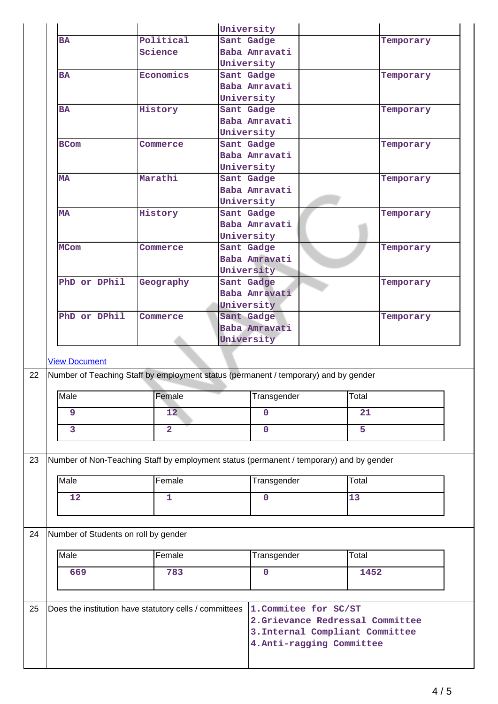|    |                                                                                         |                 | University |                           |                                                                    |       |           |  |
|----|-----------------------------------------------------------------------------------------|-----------------|------------|---------------------------|--------------------------------------------------------------------|-------|-----------|--|
|    | <b>BA</b>                                                                               | Political       | Sant Gadge |                           |                                                                    |       | Temporary |  |
|    |                                                                                         | Science         |            | Baba Amravati             |                                                                    |       |           |  |
|    |                                                                                         |                 | University |                           |                                                                    |       |           |  |
|    | <b>BA</b>                                                                               | Economics       | Sant Gadge |                           |                                                                    |       | Temporary |  |
|    |                                                                                         |                 |            | Baba Amravati             |                                                                    |       |           |  |
|    |                                                                                         |                 | University |                           |                                                                    |       |           |  |
|    | <b>BA</b>                                                                               | History         | Sant Gadge |                           |                                                                    |       | Temporary |  |
|    |                                                                                         |                 |            | Baba Amravati             |                                                                    |       |           |  |
|    |                                                                                         |                 | University |                           |                                                                    |       |           |  |
|    | <b>BCom</b>                                                                             | Commerce        | Sant Gadge |                           |                                                                    |       | Temporary |  |
|    |                                                                                         |                 |            | Baba Amravati             |                                                                    |       |           |  |
|    |                                                                                         |                 | University |                           |                                                                    |       |           |  |
|    | <b>MA</b>                                                                               | Marathi         | Sant Gadge |                           |                                                                    |       | Temporary |  |
|    |                                                                                         |                 |            | Baba Amravati             |                                                                    |       |           |  |
|    |                                                                                         |                 | University |                           |                                                                    |       |           |  |
|    | <b>MA</b>                                                                               | History         | Sant Gadge |                           |                                                                    |       | Temporary |  |
|    |                                                                                         |                 |            | Baba Amravati             |                                                                    |       |           |  |
|    |                                                                                         |                 | University |                           |                                                                    |       |           |  |
|    | <b>MCom</b>                                                                             | Commerce        | Sant Gadge |                           |                                                                    |       |           |  |
|    |                                                                                         |                 |            | Baba Amravati             |                                                                    |       | Temporary |  |
|    |                                                                                         |                 |            |                           |                                                                    |       |           |  |
|    | PhD or DPhil                                                                            |                 | University |                           |                                                                    |       |           |  |
|    |                                                                                         | Geography       | Sant Gadge |                           |                                                                    |       | Temporary |  |
|    |                                                                                         |                 |            | Baba Amravati             |                                                                    |       |           |  |
|    |                                                                                         |                 | University |                           |                                                                    |       |           |  |
|    | PhD or DPhil                                                                            | Commerce        | Sant Gadge |                           |                                                                    |       | Temporary |  |
|    |                                                                                         |                 |            | Baba Amravati             |                                                                    |       |           |  |
|    |                                                                                         |                 | University |                           |                                                                    |       |           |  |
|    | <b>View Document</b>                                                                    |                 |            |                           |                                                                    |       |           |  |
| 22 |                                                                                         |                 |            |                           |                                                                    |       |           |  |
|    | Number of Teaching Staff by employment status (permanent / temporary) and by gender     |                 |            |                           |                                                                    |       |           |  |
|    | Male                                                                                    | Female          |            | Transgender               |                                                                    | Total |           |  |
|    | 9                                                                                       | 12 <sub>1</sub> |            | $\mathbf 0$               |                                                                    | 21    |           |  |
|    | 3                                                                                       | $\overline{a}$  |            | $\mathbf 0$               |                                                                    | 5     |           |  |
|    |                                                                                         |                 |            |                           |                                                                    |       |           |  |
|    |                                                                                         |                 |            |                           |                                                                    |       |           |  |
| 23 | Number of Non-Teaching Staff by employment status (permanent / temporary) and by gender |                 |            |                           |                                                                    |       |           |  |
|    | Male                                                                                    | Female          |            | Transgender               |                                                                    | Total |           |  |
|    |                                                                                         |                 |            |                           |                                                                    |       |           |  |
|    | 12                                                                                      | 1               |            | $\mathbf 0$               |                                                                    | 13    |           |  |
|    |                                                                                         |                 |            |                           |                                                                    |       |           |  |
|    |                                                                                         |                 |            |                           |                                                                    |       |           |  |
| 24 | Number of Students on roll by gender                                                    |                 |            |                           |                                                                    |       |           |  |
|    |                                                                                         |                 |            |                           |                                                                    |       |           |  |
|    | Male                                                                                    |                 | Female     |                           | Transgender                                                        |       | Total     |  |
|    | 669                                                                                     | 783             |            | $\overline{0}$            |                                                                    | 1452  |           |  |
|    |                                                                                         |                 |            |                           |                                                                    |       |           |  |
|    |                                                                                         |                 |            |                           |                                                                    |       |           |  |
| 25 |                                                                                         |                 |            |                           |                                                                    |       |           |  |
|    | Does the institution have statutory cells / committees<br>1. Commitee for SC/ST         |                 |            |                           |                                                                    |       |           |  |
|    |                                                                                         |                 |            |                           | 2.Grievance Redressal Committee<br>3. Internal Compliant Committee |       |           |  |
|    |                                                                                         |                 |            |                           |                                                                    |       |           |  |
|    |                                                                                         |                 |            |                           |                                                                    |       |           |  |
|    |                                                                                         |                 |            | 4. Anti-ragging Committee |                                                                    |       |           |  |